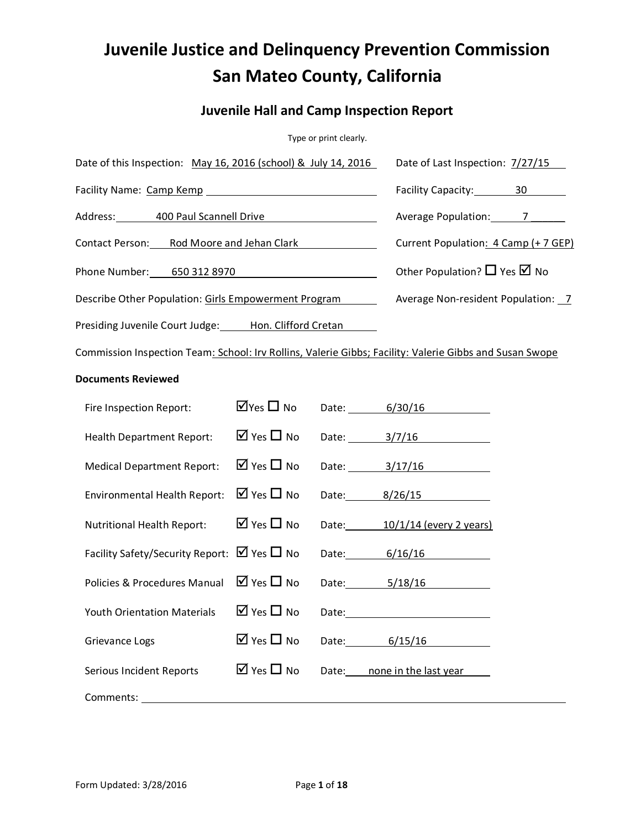# **Juvenile Justice and Delinquency Prevention Commission San Mateo County, California**

# **Juvenile Hall and Camp Inspection Report**

Type or print clearly.

| Date of this Inspection: May 16, 2016 (school) & July 14, 2016                                          | Date of Last Inspection: 7/27/15      |  |                                      |                                        |  |  |  |  |  |
|---------------------------------------------------------------------------------------------------------|---------------------------------------|--|--------------------------------------|----------------------------------------|--|--|--|--|--|
|                                                                                                         | Facility Capacity: 30                 |  |                                      |                                        |  |  |  |  |  |
| Address: 400 Paul Scannell Drive                                                                        |                                       |  | Average Population: 7                |                                        |  |  |  |  |  |
| Contact Person: Rod Moore and Jehan Clark                                                               |                                       |  | Current Population: 4 Camp (+ 7 GEP) |                                        |  |  |  |  |  |
| Phone Number: 650 312 8970                                                                              |                                       |  |                                      | Other Population? $\Box$ Yes $\Box$ No |  |  |  |  |  |
| Describe Other Population: Girls Empowerment Program                                                    |                                       |  |                                      | Average Non-resident Population: 7     |  |  |  |  |  |
| Presiding Juvenile Court Judge: Hon. Clifford Cretan                                                    |                                       |  |                                      |                                        |  |  |  |  |  |
| Commission Inspection Team: School: Irv Rollins, Valerie Gibbs; Facility: Valerie Gibbs and Susan Swope |                                       |  |                                      |                                        |  |  |  |  |  |
| <b>Documents Reviewed</b>                                                                               |                                       |  |                                      |                                        |  |  |  |  |  |
| Fire Inspection Report:                                                                                 | $\overline{\mathsf{M}}$ Yes $\Box$ No |  | Date: 6/30/16                        |                                        |  |  |  |  |  |
| <b>Health Department Report:</b>                                                                        | $\overline{M}$ Yes $\Box$ No          |  | Date: 3/7/16                         |                                        |  |  |  |  |  |
| <b>Medical Department Report:</b>                                                                       | $\overline{M}$ Yes $\Box$ No          |  | Date: 3/17/16                        |                                        |  |  |  |  |  |
| <b>Environmental Health Report:</b>                                                                     | $\boxtimes$ Yes $\square$ No          |  | Date: 8/26/15                        |                                        |  |  |  |  |  |
| Nutritional Health Report:                                                                              | $\Box$ Yes $\Box$ No                  |  | Date: 10/1/14 (every 2 years)        |                                        |  |  |  |  |  |
| Facility Safety/Security Report: $\boxtimes$ Yes $\square$ No                                           |                                       |  | Date: 6/16/16                        |                                        |  |  |  |  |  |
| Policies & Procedures Manual                                                                            | $\overline{M}$ Yes $\Pi$ No           |  | Date: 5/18/16                        |                                        |  |  |  |  |  |
| <b>Youth Orientation Materials</b>                                                                      | $\boxtimes$ Yes $\Box$ No             |  |                                      |                                        |  |  |  |  |  |
| Grievance Logs                                                                                          | $\overline{M}$ Yes $\Pi$ No           |  | Date: 6/15/16                        |                                        |  |  |  |  |  |
| <b>Serious Incident Reports</b>                                                                         | $\boxtimes$ Yes $\Box$ No             |  | Date: none in the last year          |                                        |  |  |  |  |  |
| Comments:                                                                                               |                                       |  |                                      |                                        |  |  |  |  |  |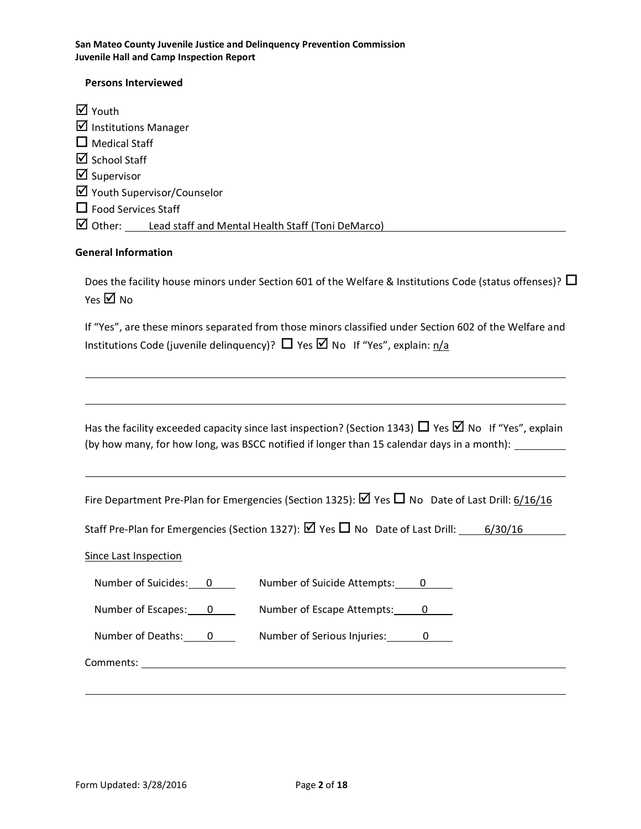#### **Persons Interviewed**

M Youth  $\overline{\mathbf{y}}$  Institutions Manager  $\Box$  Medical Staff  $\boxtimes$  School Staff  $\boxtimes$  Supervisor ■ Youth Supervisor/Counselor  $\Box$  Food Services Staff  $\boxtimes$  Other: Lead staff and Mental Health Staff (Toni DeMarco)

#### **General Information**

Does the facility house minors under Section 601 of the Welfare & Institutions Code (status offenses)?  $\Box$ Yes  $\boxtimes$  No

If "Yes", are these minors separated from those minors classified under Section 602 of the Welfare and Institutions Code (juvenile delinquency)?  $\Box$  Yes  $\Box$  No If "Yes", explain:  $n/a$ 

Has the facility exceeded capacity since last inspection? (Section 1343)  $\Box$  Yes  $\Box$  No If "Yes", explain (by how many, for how long, was BSCC notified if longer than 15 calendar days in a month):

Fire Department Pre-Plan for Emergencies (Section 1325):  $\boxtimes$  Yes  $\Box$  No Date of Last Drill: 6/16/16

Staff Pre-Plan for Emergencies (Section 1327):  $\boxtimes$  Yes  $\Box$  No Date of Last Drill: 6/30/16

#### Since Last Inspection

| Number of Suicides: | Number of Suicide Attempts: |
|---------------------|-----------------------------|
| Number of Escapes:  | Number of Escape Attempts:  |
| Number of Deaths:   | Number of Serious Injuries: |

Comments: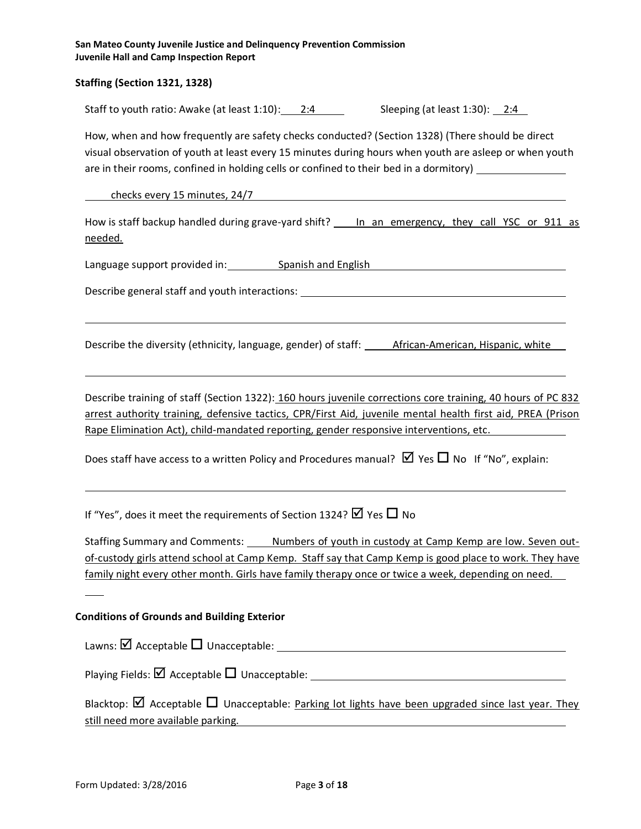#### **Staffing (Section 1321, 1328)**

Staff to youth ratio: Awake (at least 1:10): 2:4 Sleeping (at least 1:30): 2:4

How, when and how frequently are safety checks conducted? (Section 1328) (There should be direct visual observation of youth at least every 15 minutes during hours when youth are asleep or when youth are in their rooms, confined in holding cells or confined to their bed in a dormitory)

checks every 15 minutes, 24/7

How is staff backup handled during grave-yard shift? In an emergency, they call YSC or 911 as needed.

Language support provided in: Spanish and English and English

Describe general staff and youth interactions:

Describe the diversity (ethnicity, language, gender) of staff: African-American, Hispanic, white

Describe training of staff (Section 1322): 160 hours juvenile corrections core training, 40 hours of PC 832 arrest authority training, defensive tactics, CPR/First Aid, juvenile mental health first aid, PREA (Prison Rape Elimination Act), child-mandated reporting, gender responsive interventions, etc.

Does staff have access to a written Policy and Procedures manual?  $\boxtimes$  Yes  $\Box$  No If "No", explain:

If "Yes", does it meet the requirements of Section 1324?  $\boxtimes$  Yes  $\Box$  No

Staffing Summary and Comments: Numbers of youth in custody at Camp Kemp are low. Seven outof-custody girls attend school at Camp Kemp. Staff say that Camp Kemp is good place to work. They have family night every other month. Girls have family therapy once or twice a week, depending on need.

#### **Conditions of Grounds and Building Exterior**

Lawns:  $\boxtimes$  Acceptable  $\Box$  Unacceptable:

Playing Fields:  $\boxtimes$  Acceptable  $\Box$  Unacceptable:

Blacktop:  $\boxtimes$  Acceptable  $\Box$  Unacceptable: Parking lot lights have been upgraded since last year. They still need more available parking.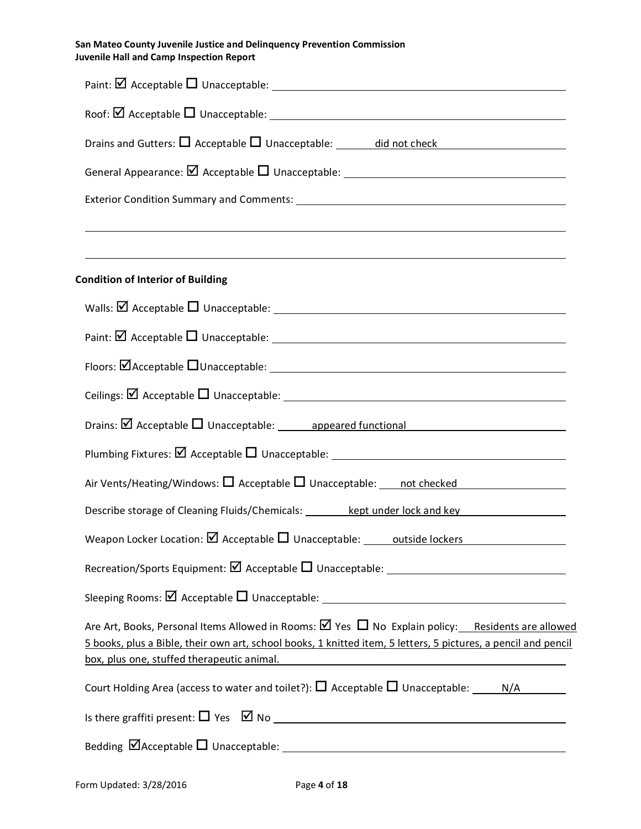| San Mateo County Juvenile Justice and Delinguency Prevention Commission |
|-------------------------------------------------------------------------|
| Juvenile Hall and Camp Inspection Report                                |

| Drains and Gutters: $\Box$ Acceptable $\Box$ Unacceptable: _______ did not check                                                                                                                                                                                                                                                                                                                         |  |  |  |  |  |  |
|----------------------------------------------------------------------------------------------------------------------------------------------------------------------------------------------------------------------------------------------------------------------------------------------------------------------------------------------------------------------------------------------------------|--|--|--|--|--|--|
|                                                                                                                                                                                                                                                                                                                                                                                                          |  |  |  |  |  |  |
| ,我们也不会有一个人的人,我们也不会有一个人的人,我们也不会有一个人的人,我们也不会有一个人的人,我们也不会有一个人的人。""我们的人,我们也不会有一个人的人,我                                                                                                                                                                                                                                                                                                                        |  |  |  |  |  |  |
|                                                                                                                                                                                                                                                                                                                                                                                                          |  |  |  |  |  |  |
| <b>Condition of Interior of Building</b>                                                                                                                                                                                                                                                                                                                                                                 |  |  |  |  |  |  |
|                                                                                                                                                                                                                                                                                                                                                                                                          |  |  |  |  |  |  |
|                                                                                                                                                                                                                                                                                                                                                                                                          |  |  |  |  |  |  |
|                                                                                                                                                                                                                                                                                                                                                                                                          |  |  |  |  |  |  |
|                                                                                                                                                                                                                                                                                                                                                                                                          |  |  |  |  |  |  |
|                                                                                                                                                                                                                                                                                                                                                                                                          |  |  |  |  |  |  |
|                                                                                                                                                                                                                                                                                                                                                                                                          |  |  |  |  |  |  |
|                                                                                                                                                                                                                                                                                                                                                                                                          |  |  |  |  |  |  |
| Describe storage of Cleaning Fluids/Chemicals: ________ kept under lock and key                                                                                                                                                                                                                                                                                                                          |  |  |  |  |  |  |
| Weapon Locker Location: $\boxtimes$ Acceptable $\Box$ Unacceptable: outside lockers                                                                                                                                                                                                                                                                                                                      |  |  |  |  |  |  |
|                                                                                                                                                                                                                                                                                                                                                                                                          |  |  |  |  |  |  |
|                                                                                                                                                                                                                                                                                                                                                                                                          |  |  |  |  |  |  |
| Are Art, Books, Personal Items Allowed in Rooms: $\boxtimes$ Yes $\Box$ No Explain policy: Residents are allowed<br>5 books, plus a Bible, their own art, school books, 1 knitted item, 5 letters, 5 pictures, a pencil and pencil<br>box, plus one, stuffed therapeutic animal.<br><u> 1980 - Johann Stoff, deutscher Stoffen und der Stoffen und der Stoffen und der Stoffen und der Stoffen und d</u> |  |  |  |  |  |  |
|                                                                                                                                                                                                                                                                                                                                                                                                          |  |  |  |  |  |  |
|                                                                                                                                                                                                                                                                                                                                                                                                          |  |  |  |  |  |  |
|                                                                                                                                                                                                                                                                                                                                                                                                          |  |  |  |  |  |  |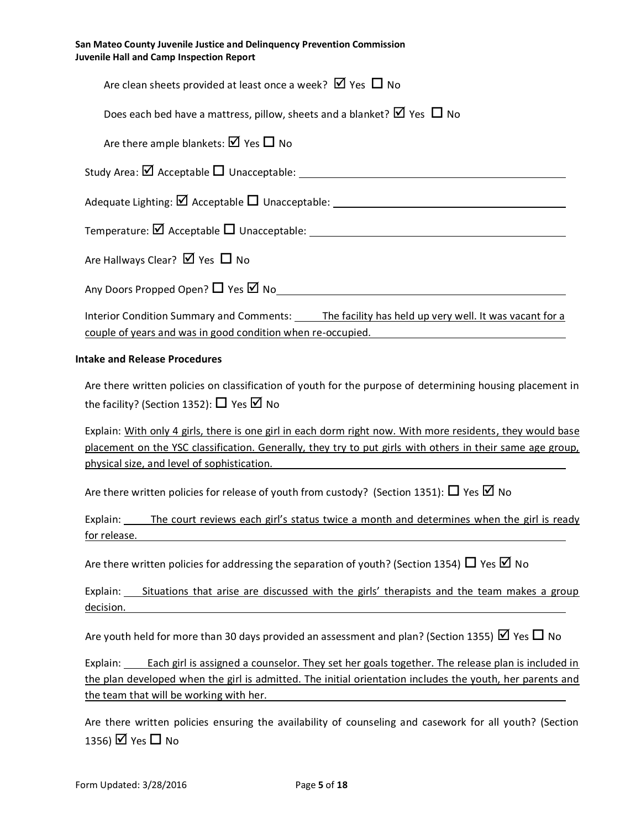| San Mateo County Juvenile Justice and Delinguency Prevention Commission<br>Juvenile Hall and Camp Inspection Report |
|---------------------------------------------------------------------------------------------------------------------|
| Are clean sheets provided at least once a week? $\boxtimes$ Yes $\Box$ No                                           |
| Does each bed have a mattress, pillow, sheets and a blanket? $\boxtimes$ Yes $\Box$ No                              |
|                                                                                                                     |

| Are there ample blankets: $\boxtimes$ Yes $\Box$ No                                                                                                             |
|-----------------------------------------------------------------------------------------------------------------------------------------------------------------|
| Study Area: $\boxtimes$ Acceptable $\Box$ Unacceptable:                                                                                                         |
|                                                                                                                                                                 |
| Temperature: $\boxtimes$ Acceptable $\Box$ Unacceptable:                                                                                                        |
| Are Hallways Clear? $\boxtimes$ Yes $\Box$ No                                                                                                                   |
| Any Doors Propped Open? $\Box$ Yes $\boxtimes$ No                                                                                                               |
| Interior Condition Summary and Comments: The facility has held up very well. It was vacant for a<br>couple of years and was in good condition when re-occupied. |

# **Intake and Release Procedures**

Are there written policies on classification of youth for the purpose of determining housing placement in the facility? (Section 1352):  $\Box$  Yes  $\Box$  No

Explain: With only 4 girls, there is one girl in each dorm right now. With more residents, they would base placement on the YSC classification. Generally, they try to put girls with others in their same age group, physical size, and level of sophistication.

Are there written policies for release of youth from custody? (Section 1351):  $\Box$  Yes  $\Box$  No

Explain: The court reviews each girl's status twice a month and determines when the girl is ready for release.

Are there written policies for addressing the separation of youth? (Section 1354)  $\Box$  Yes  $\boxtimes$  No

Explain: Situations that arise are discussed with the girls' therapists and the team makes a group decision.

Are youth held for more than 30 days provided an assessment and plan? (Section 1355)  $\boxtimes$  Yes  $\Box$  No

Explain: Each girl is assigned a counselor. They set her goals together. The release plan is included in the plan developed when the girl is admitted. The initial orientation includes the youth, her parents and the team that will be working with her.

Are there written policies ensuring the availability of counseling and casework for all youth? (Section 1356)  $\boxtimes$  Yes  $\Box$  No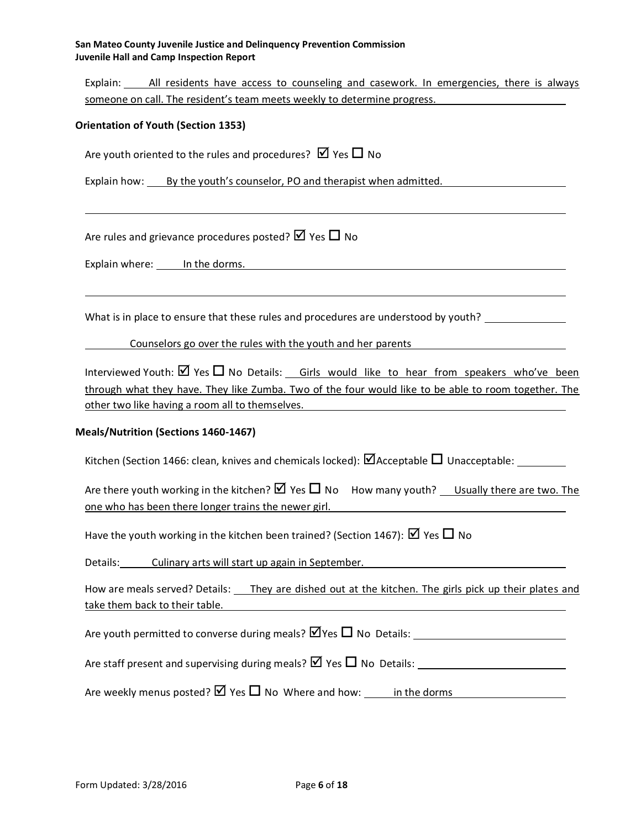Explain: All residents have access to counseling and casework. In emergencies, there is always someone on call. The resident's team meets weekly to determine progress.

#### **Orientation of Youth (Section 1353)**

Are youth oriented to the rules and procedures?  $\boxtimes$  Yes  $\Box$  No

Explain how: By the youth's counselor, PO and therapist when admitted.

Are rules and grievance procedures posted?  $\boxtimes$  Yes  $\Box$  No

Explain where: In the dorms.

What is in place to ensure that these rules and procedures are understood by youth?  $\_\_$ 

Counselors go over the rules with the youth and her parents

Interviewed Youth:  $\boxtimes$  Yes  $\Box$  No Details: Girls would like to hear from speakers who've been through what they have. They like Zumba. Two of the four would like to be able to room together. The other two like having a room all to themselves.

#### **Meals/Nutrition (Sections 1460-1467)**

Kitchen (Section 1466: clean, knives and chemicals locked):  $\Box$  Acceptable  $\Box$  Unacceptable:

Are there youth working in the kitchen?  $\boxtimes$  Yes  $\Box$  No How many youth? Usually there are two. The one who has been there longer trains the newer girl.

Have the youth working in the kitchen been trained? (Section 1467):  $\boxtimes$  Yes  $\Box$  No

Details: Culinary arts will start up again in September.

How are meals served? Details: They are dished out at the kitchen. The girls pick up their plates and take them back to their table.

Are youth permitted to converse during meals?  $\Psi$ Yes  $\Pi$  No Details:

Are staff present and supervising during meals?  $\boxtimes$  Yes  $\Box$  No Details:

Are weekly menus posted?  $\boxtimes$  Yes  $\Box$  No Where and how: in the dorms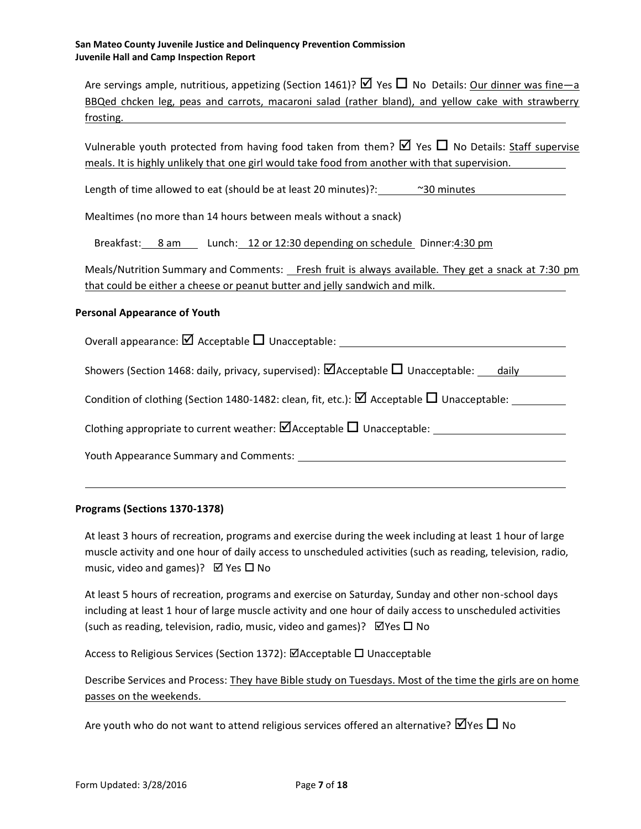| Are servings ample, nutritious, appetizing (Section 1461)? $\boxtimes$ Yes $\Box$ No Details: Our dinner was fine—a |  |  |  |  |  |  |
|---------------------------------------------------------------------------------------------------------------------|--|--|--|--|--|--|
| BBQed chcken leg, peas and carrots, macaroni salad (rather bland), and yellow cake with strawberry                  |  |  |  |  |  |  |
| frosting.                                                                                                           |  |  |  |  |  |  |

Vulnerable youth protected from having food taken from them?  $\boxtimes$  Yes  $\Box$  No Details: Staff supervise meals. It is highly unlikely that one girl would take food from another with that supervision.

Length of time allowed to eat (should be at least 20 minutes)?:  $\frac{80 \text{ minutes}}{20 \text{ minutes}}$ 

Mealtimes (no more than 14 hours between meals without a snack)

Breakfast: 8 am Lunch: 12 or 12:30 depending on schedule Dinner:4:30 pm

Meals/Nutrition Summary and Comments: Fresh fruit is always available. They get a snack at 7:30 pm that could be either a cheese or peanut butter and jelly sandwich and milk.

#### **Personal Appearance of Youth**

Overall appearance:  $\Box$  Acceptable  $\Box$  Unacceptable:

Showers (Section 1468: daily, privacy, supervised):  $\Box$  Acceptable  $\Box$  Unacceptable: daily

Condition of clothing (Section 1480-1482: clean, fit, etc.):  $\boxtimes$  Acceptable  $\Box$  Unacceptable:

Clothing appropriate to current weather:  $\Box$  Acceptable  $\Box$  Unacceptable:  $\Box$ 

Youth Appearance Summary and Comments:

#### **Programs (Sections 1370-1378)**

At least 3 hours of recreation, programs and exercise during the week including at least 1 hour of large muscle activity and one hour of daily access to unscheduled activities (such as reading, television, radio, music, video and games)?  $\boxtimes$  Yes  $\square$  No

At least 5 hours of recreation, programs and exercise on Saturday, Sunday and other non-school days including at least 1 hour of large muscle activity and one hour of daily access to unscheduled activities (such as reading, television, radio, music, video and games)?  $\boxtimes$  Yes  $\square$  No

Access to Religious Services (Section 1372): ØAcceptable □ Unacceptable

Describe Services and Process: They have Bible study on Tuesdays. Most of the time the girls are on home passes on the weekends.

Are youth who do not want to attend religious services offered an alternative?  $\Box$  Yes  $\Box$  No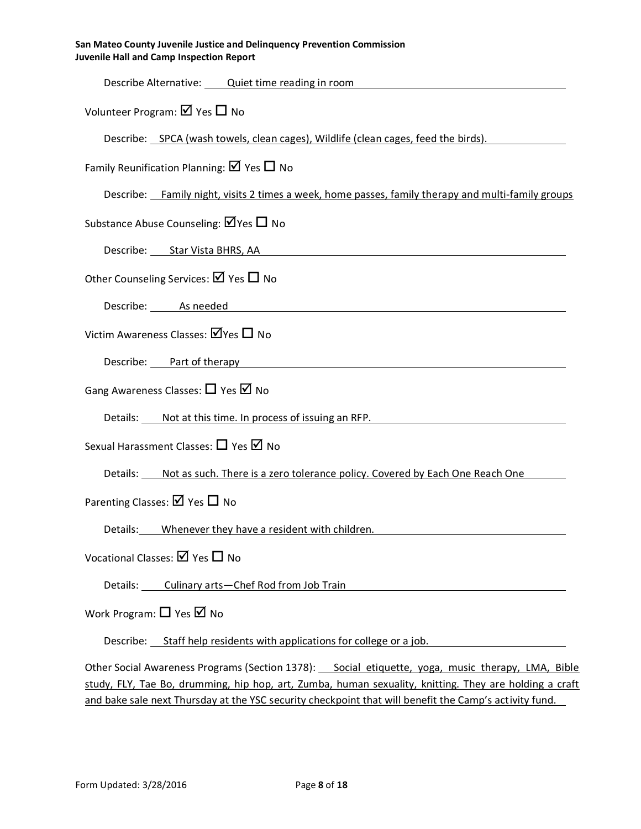| Describe Alternative: Quiet time reading in room                                                                                                                                                                               |
|--------------------------------------------------------------------------------------------------------------------------------------------------------------------------------------------------------------------------------|
| Volunteer Program: $\boxtimes$ Yes $\Box$ No                                                                                                                                                                                   |
| Describe: SPCA (wash towels, clean cages), Wildlife (clean cages, feed the birds).                                                                                                                                             |
| Family Reunification Planning: $\boxtimes$ Yes $\Box$ No                                                                                                                                                                       |
| Describe: Family night, visits 2 times a week, home passes, family therapy and multi-family groups                                                                                                                             |
| Substance Abuse Counseling: $\boxtimes$ Yes $\Box$ No                                                                                                                                                                          |
| Describe: Star Vista BHRS, AA Started and Started and Started and Started and Started and Started and Started A                                                                                                                |
| Other Counseling Services: $\boxtimes$ Yes $\Box$ No                                                                                                                                                                           |
| Describe: As needed Assessment Contract Assessment Contract Assessment Contract Assessment Contract Assessment                                                                                                                 |
| Victim Awareness Classes: $\boxtimes$ Yes $\square$ No                                                                                                                                                                         |
| Describe: Part of therapy entitled and the control of the control of the control of the control of the control of the control of the control of the control of the control of the control of the control of the control of the |
| Gang Awareness Classes: $\Box$ Yes $\Box$ No                                                                                                                                                                                   |
| Details: Not at this time. In process of issuing an RFP.                                                                                                                                                                       |
| Sexual Harassment Classes: □ Yes Ø No                                                                                                                                                                                          |
| Details: ____ Not as such. There is a zero tolerance policy. Covered by Each One Reach One                                                                                                                                     |
| Parenting Classes: $\boxtimes$ Yes $\Box$ No                                                                                                                                                                                   |
| Details: Whenever they have a resident with children.                                                                                                                                                                          |
| Vocational Classes: Ø Yes □ No                                                                                                                                                                                                 |
| Details: Culinary arts-Chef Rod from Job Train                                                                                                                                                                                 |
| Work Program: $\Box$ Yes $\Box$ No                                                                                                                                                                                             |
| Describe: Staff help residents with applications for college or a job.                                                                                                                                                         |
|                                                                                                                                                                                                                                |

Other Social Awareness Programs (Section 1378): Social etiquette, yoga, music therapy, LMA, Bible study, FLY, Tae Bo, drumming, hip hop, art, Zumba, human sexuality, knitting. They are holding a craft and bake sale next Thursday at the YSC security checkpoint that will benefit the Camp's activity fund.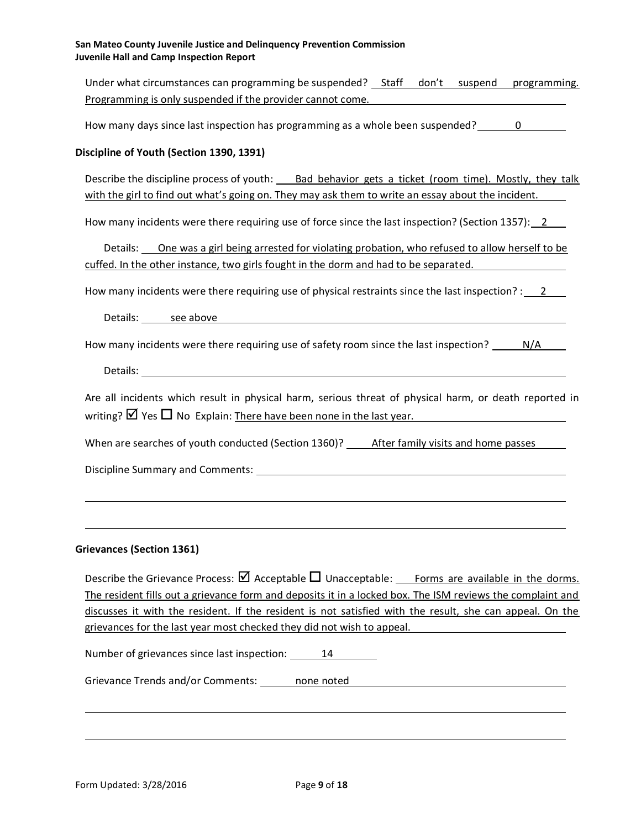Under what circumstances can programming be suspended? \_ Staff don't suspend programming. Programming is only suspended if the provider cannot come.

How many days since last inspection has programming as a whole been suspended? 0

### **Discipline of Youth (Section 1390, 1391)**

Describe the discipline process of youth: Bad behavior gets a ticket (room time). Mostly, they talk with the girl to find out what's going on. They may ask them to write an essay about the incident.

How many incidents were there requiring use of force since the last inspection? (Section 1357): 2

Details: One was a girl being arrested for violating probation, who refused to allow herself to be cuffed. In the other instance, two girls fought in the dorm and had to be separated.

How many incidents were there requiring use of physical restraints since the last inspection? : 2

Details: see above **see above** 

How many incidents were there requiring use of safety room since the last inspection? N/A

Details: The contract of the contract of the contract of the contract of the contract of the contract of the contract of the contract of the contract of the contract of the contract of the contract of the contract of the c

Are all incidents which result in physical harm, serious threat of physical harm, or death reported in writing?  $\boxtimes$  Yes  $\Box$  No Explain: There have been none in the last year.

When are searches of youth conducted (Section 1360)? After family visits and home passes

Discipline Summary and Comments:

#### **Grievances (Section 1361)**

Describe the Grievance Process:  $\boxtimes$  Acceptable  $\Box$  Unacceptable: Forms are available in the dorms. The resident fills out a grievance form and deposits it in a locked box. The ISM reviews the complaint and discusses it with the resident. If the resident is not satisfied with the result, she can appeal. On the grievances for the last year most checked they did not wish to appeal.

Number of grievances since last inspection: 14

Grievance Trends and/or Comments: none noted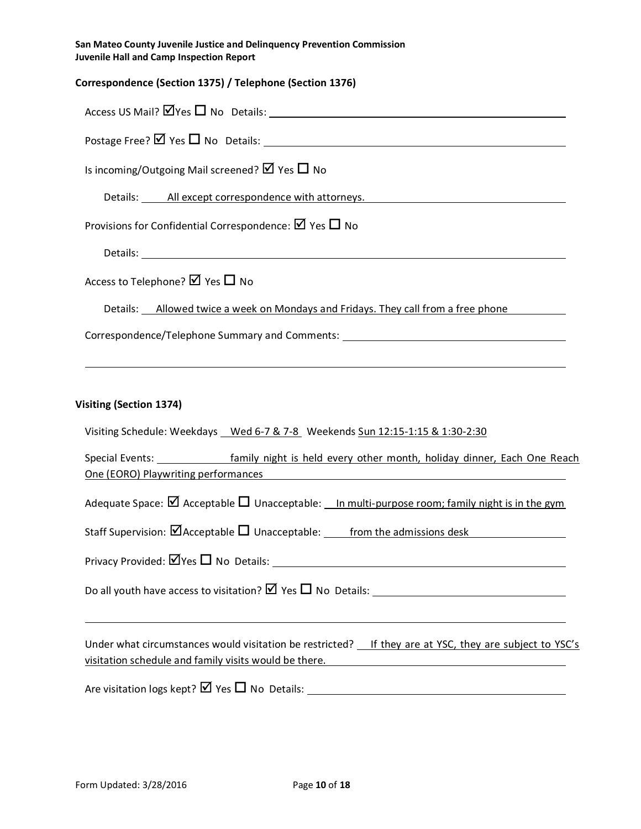| San Mateo County Juvenile Justice and Delinguency Prevention Commission |  |
|-------------------------------------------------------------------------|--|
| <b>Juvenile Hall and Camp Inspection Report</b>                         |  |

| Correspondence (Section 1375) / Telephone (Section 1376)                             |
|--------------------------------------------------------------------------------------|
|                                                                                      |
|                                                                                      |
| Is incoming/Outgoing Mail screened? $\boxtimes$ Yes $\Box$ No                        |
| Details: All except correspondence with attorneys.                                   |
| Provisions for Confidential Correspondence: $\boxtimes$ Yes $\Box$ No                |
|                                                                                      |
| Access to Telephone? $\boxtimes$ Yes $\Box$ No                                       |
| Details: __ Allowed twice a week on Mondays and Fridays. They call from a free phone |
| Correspondence/Telephone Summary and Comments: __________________________________    |
| ,我们也不会有什么。""我们的人,我们也不会有什么?""我们的人,我们也不会有什么?""我们的人,我们也不会有什么?""我们的人,我们也不会有什么?""我们的人     |
| Visiting (Section 1374)                                                              |
| Visiting Schedule: Weekdays Wed 6-7 & 7-8 Weekends Sun 12:15-1:15 & 1:30-2:30        |

| Special Events:                     |  |  |  | family night is held every other month, holiday dinner, Each One Reach |  |  |
|-------------------------------------|--|--|--|------------------------------------------------------------------------|--|--|
| One (EORO) Playwriting performances |  |  |  |                                                                        |  |  |
|                                     |  |  |  |                                                                        |  |  |

| Adequate Space: $\boxtimes$ Acceptable $\Box$ Unacceptable: __In multi-purpose room; family night is in the gym |
|-----------------------------------------------------------------------------------------------------------------|
|                                                                                                                 |

Staff Supervision:  $\Box$  Acceptable  $\Box$  Unacceptable: from the admissions desk

Privacy Provided: Yes No Details:

Do all youth have access to visitation? Yes No Details:

Under what circumstances would visitation be restricted? \_\_ If they are at YSC, they are subject to YSC's visitation schedule and family visits would be there.

Are visitation logs kept? Yes No Details: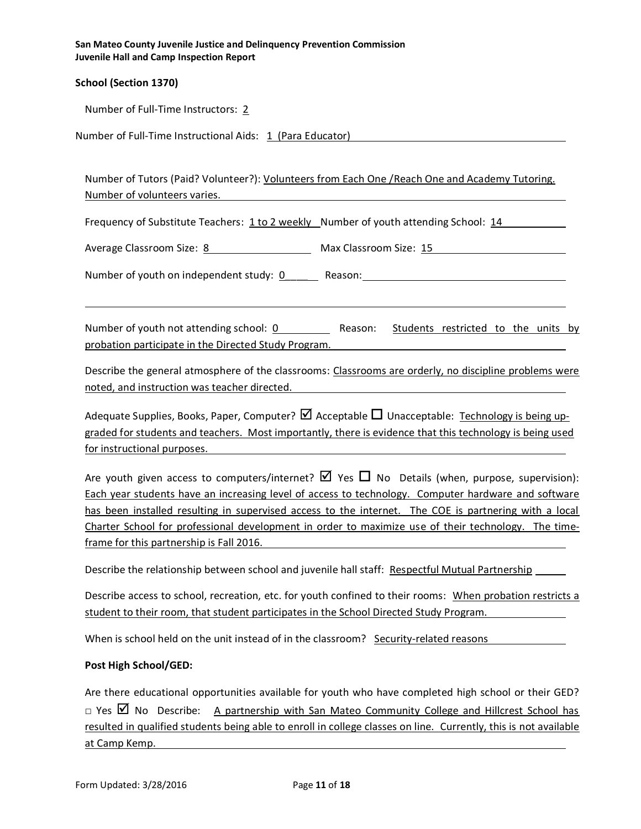| San Mateo County Juvenile Justice and Delinguency Prevention Commission |
|-------------------------------------------------------------------------|
| Juvenile Hall and Camp Inspection Report                                |
|                                                                         |

# **School (Section 1370)**

Number of Full-Time Instructors: 2

Number of Full-Time Instructional Aids: 1 (Para Educator)

Number of Tutors (Paid? Volunteer?): Volunteers from Each One /Reach One and Academy Tutoring. Number of volunteers varies.

Frequency of Substitute Teachers: 1 to 2 weekly Number of youth attending School: 14

Average Classroom Size: 8 Max Classroom Size: 15

Number of youth on independent study: 0\_\_\_\_\_\_ Reason:

Number of youth not attending school: 0 Reason: Students restricted to the units by probation participate in the Directed Study Program.

Describe the general atmosphere of the classrooms: Classrooms are orderly, no discipline problems were noted, and instruction was teacher directed.

Adequate Supplies, Books, Paper, Computer?  $\boxtimes$  Acceptable  $\Box$  Unacceptable: Technology is being upgraded for students and teachers. Most importantly, there is evidence that this technology is being used for instructional purposes.

Are youth given access to computers/internet?  $\boxtimes$  Yes  $\Box$  No Details (when, purpose, supervision): Each year students have an increasing level of access to technology. Computer hardware and software has been installed resulting in supervised access to the internet. The COE is partnering with a local Charter School for professional development in order to maximize use of their technology. The timeframe for this partnership is Fall 2016.

Describe the relationship between school and juvenile hall staff: Respectful Mutual Partnership

Describe access to school, recreation, etc. for youth confined to their rooms: When probation restricts a student to their room, that student participates in the School Directed Study Program.

When is school held on the unit instead of in the classroom? Security-related reasons

#### **Post High School/GED:**

Are there educational opportunities available for youth who have completed high school or their GED? □ Yes  $\boxtimes$  No Describe: A partnership with San Mateo Community College and Hillcrest School has resulted in qualified students being able to enroll in college classes on line. Currently, this is not available at Camp Kemp.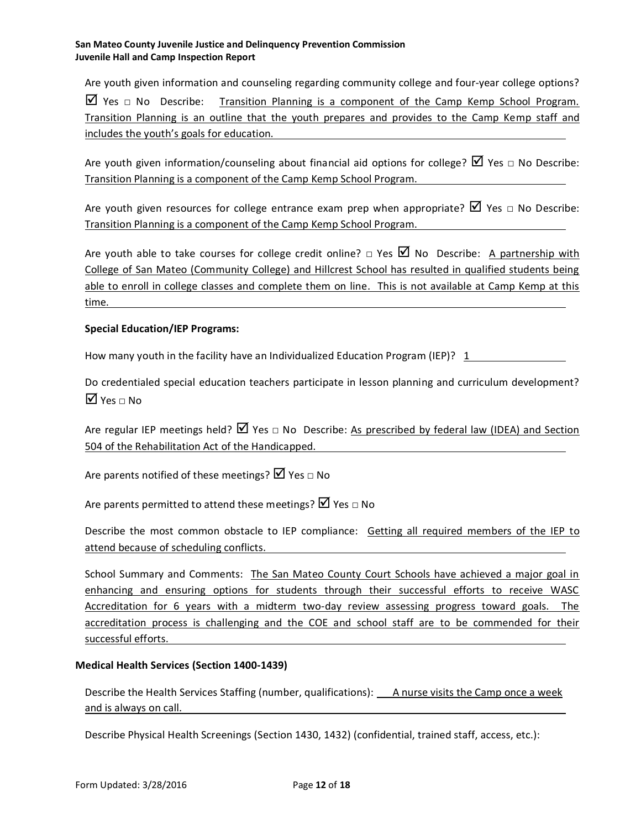Are youth given information and counseling regarding community college and four-year college options?  $\boxtimes$  Yes  $\Box$  No Describe: Transition Planning is a component of the Camp Kemp School Program. Transition Planning is an outline that the youth prepares and provides to the Camp Kemp staff and includes the youth's goals for education.

Are youth given information/counseling about financial aid options for college?  $\Box$  Yes  $\Box$  No Describe: Transition Planning is a component of the Camp Kemp School Program.

Are youth given resources for college entrance exam prep when appropriate?  $\boxtimes$  Yes  $\Box$  No Describe: Transition Planning is a component of the Camp Kemp School Program.

Are youth able to take courses for college credit online?  $\Box$  Yes  $\Box$  No Describe: A partnership with College of San Mateo (Community College) and Hillcrest School has resulted in qualified students being able to enroll in college classes and complete them on line. This is not available at Camp Kemp at this time.

# **Special Education/IEP Programs:**

How many youth in the facility have an Individualized Education Program (IEP)? 1

Do credentialed special education teachers participate in lesson planning and curriculum development?  $\overline{\mathsf{Y}}$  Yes  $\sqcap$  No.

Are regular IEP meetings held?  $\boxtimes$  Yes  $\Box$  No Describe: As prescribed by federal law (IDEA) and Section 504 of the Rehabilitation Act of the Handicapped.

Are parents notified of these meetings?  $\boxtimes$  Yes  $\Box$  No

Are parents permitted to attend these meetings?  $\boxtimes$  Yes  $\Box$  No

Describe the most common obstacle to IEP compliance: Getting all required members of the IEP to attend because of scheduling conflicts.

School Summary and Comments: The San Mateo County Court Schools have achieved a major goal in enhancing and ensuring options for students through their successful efforts to receive WASC Accreditation for 6 years with a midterm two-day review assessing progress toward goals. The accreditation process is challenging and the COE and school staff are to be commended for their successful efforts.

# **Medical Health Services (Section 1400-1439)**

Describe the Health Services Staffing (number, qualifications): A nurse visits the Camp once a week and is always on call.

Describe Physical Health Screenings (Section 1430, 1432) (confidential, trained staff, access, etc.):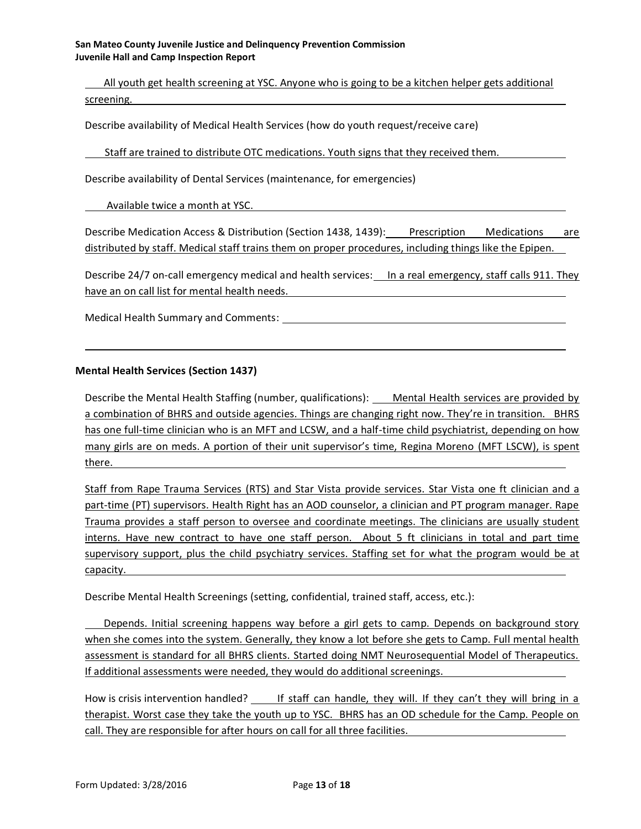All youth get health screening at YSC. Anyone who is going to be a kitchen helper gets additional screening.

Describe availability of Medical Health Services (how do youth request/receive care)

Staff are trained to distribute OTC medications. Youth signs that they received them.

Describe availability of Dental Services (maintenance, for emergencies)

Available twice a month at YSC.

Describe Medication Access & Distribution (Section 1438, 1439): Prescription Medications are distributed by staff. Medical staff trains them on proper procedures, including things like the Epipen.

Describe 24/7 on-call emergency medical and health services: In a real emergency, staff calls 911. They have an on call list for mental health needs.

Medical Health Summary and Comments:

#### **Mental Health Services (Section 1437)**

Describe the Mental Health Staffing (number, qualifications): Mental Health services are provided by a combination of BHRS and outside agencies. Things are changing right now. They're in transition. BHRS has one full-time clinician who is an MFT and LCSW, and a half-time child psychiatrist, depending on how many girls are on meds. A portion of their unit supervisor's time, Regina Moreno (MFT LSCW), is spent there.

Staff from Rape Trauma Services (RTS) and Star Vista provide services. Star Vista one ft clinician and a part-time (PT) supervisors. Health Right has an AOD counselor, a clinician and PT program manager. Rape Trauma provides a staff person to oversee and coordinate meetings. The clinicians are usually student interns. Have new contract to have one staff person. About 5 ft clinicians in total and part time supervisory support, plus the child psychiatry services. Staffing set for what the program would be at capacity.

Describe Mental Health Screenings (setting, confidential, trained staff, access, etc.):

Depends. Initial screening happens way before a girl gets to camp. Depends on background story when she comes into the system. Generally, they know a lot before she gets to Camp. Full mental health assessment is standard for all BHRS clients. Started doing NMT Neurosequential Model of Therapeutics. If additional assessments were needed, they would do additional screenings.

How is crisis intervention handled? If staff can handle, they will. If they can't they will bring in a therapist. Worst case they take the youth up to YSC. BHRS has an OD schedule for the Camp. People on call. They are responsible for after hours on call for all three facilities.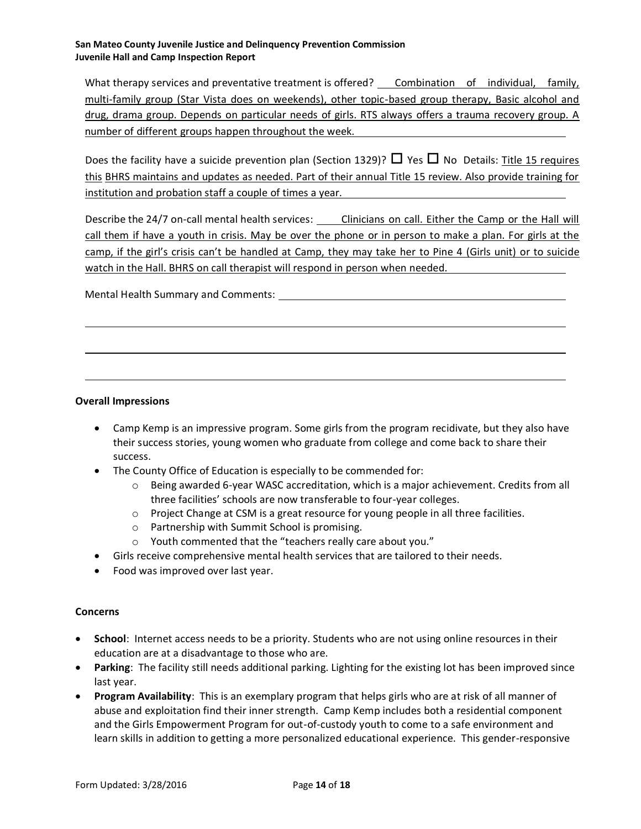What therapy services and preventative treatment is offered? Combination of individual, family, multi-family group (Star Vista does on weekends), other topic-based group therapy, Basic alcohol and drug, drama group. Depends on particular needs of girls. RTS always offers a trauma recovery group. A number of different groups happen throughout the week.

Does the facility have a suicide prevention plan (Section 1329)?  $\Box$  Yes  $\Box$  No Details: Title 15 requires this BHRS maintains and updates as needed. Part of their annual Title 15 review. Also provide training for institution and probation staff a couple of times a year.

Describe the 24/7 on-call mental health services: Clinicians on call. Either the Camp or the Hall will call them if have a youth in crisis. May be over the phone or in person to make a plan. For girls at the camp, if the girl's crisis can't be handled at Camp, they may take her to Pine 4 (Girls unit) or to suicide watch in the Hall. BHRS on call therapist will respond in person when needed.

Mental Health Summary and Comments:

#### **Overall Impressions**

- Camp Kemp is an impressive program. Some girls from the program recidivate, but they also have their success stories, young women who graduate from college and come back to share their success.
- The County Office of Education is especially to be commended for:
	- o Being awarded 6-year WASC accreditation, which is a major achievement. Credits from all three facilities' schools are now transferable to four-year colleges.
	- o Project Change at CSM is a great resource for young people in all three facilities.
	- o Partnership with Summit School is promising.
	- o Youth commented that the "teachers really care about you."
- Girls receive comprehensive mental health services that are tailored to their needs.
- Food was improved over last year.

#### **Concerns**

- **School**: Internet access needs to be a priority. Students who are not using online resources in their education are at a disadvantage to those who are.
- **Parking**: The facility still needs additional parking. Lighting for the existing lot has been improved since last year.
- **Program Availability**: This is an exemplary program that helps girls who are at risk of all manner of abuse and exploitation find their inner strength. Camp Kemp includes both a residential component and the Girls Empowerment Program for out-of-custody youth to come to a safe environment and learn skills in addition to getting a more personalized educational experience. This gender-responsive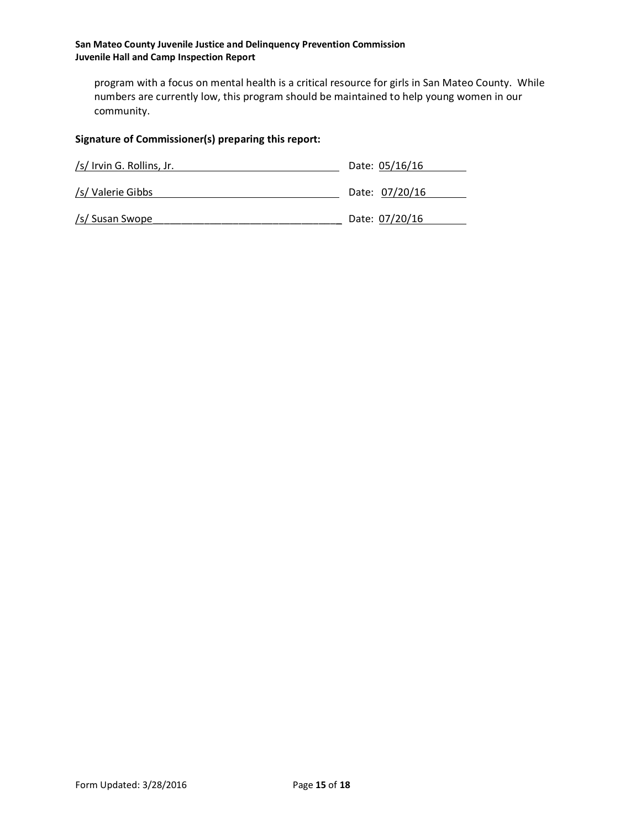program with a focus on mental health is a critical resource for girls in San Mateo County. While numbers are currently low, this program should be maintained to help young women in our community.

# **Signature of Commissioner(s) preparing this report:**

| /s/ Irvin G. Rollins, Jr. | Date: 05/16/16 |
|---------------------------|----------------|
| /s/ Valerie Gibbs         | Date: 07/20/16 |
| /s/ Susan Swope           | Date: 07/20/16 |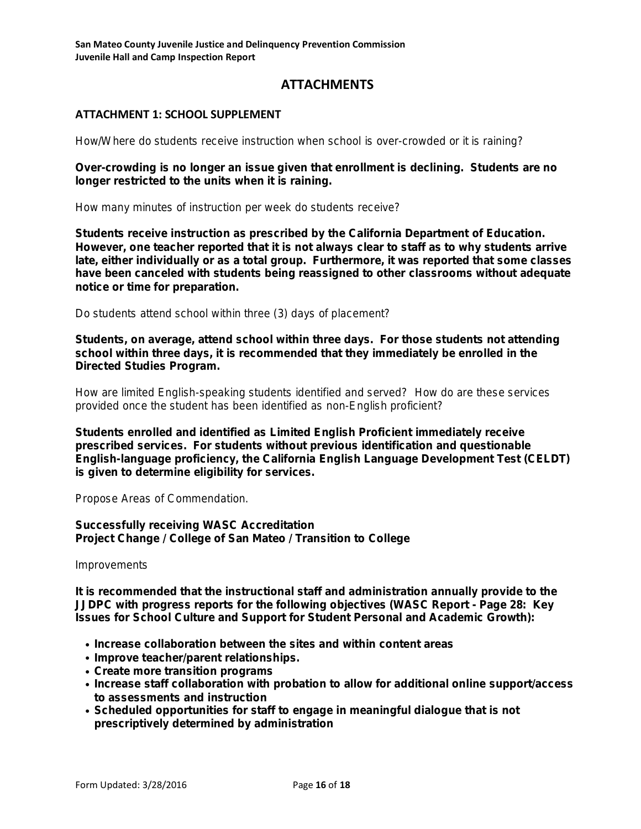# **ATTACHMENTS**

# **ATTACHMENT 1: SCHOOL SUPPLEMENT**

**How/Where do students receive instruction when school is over-crowded or it is raining?** 

*Over-crowding is no longer an issue given that enrollment is declining. Students are no longer restricted to the units when it is raining.*

**How many minutes of instruction per week do students receive?**

*Students receive instruction as prescribed by the California Department of Education. However, one teacher reported that it is not always clear to staff as to why students arrive late, either individually or as a total group. Furthermore, it was reported that some classes have been canceled with students being reassigned to other classrooms without adequate notice or time for preparation.* 

**Do students attend school within three (3) days of placement?**

*Students, on average, attend school within three days. For those students not attending school within three days, it is recommended that they immediately be enrolled in the Directed Studies Program.*

**How are limited English-speaking students identified and served? How do are these services provided once the student has been identified as non-English proficient?**

*Students enrolled and identified as Limited English Proficient immediately receive prescribed services. For students without previous identification and questionable English-language proficiency, the California English Language Development Test (CELDT) is given to determine eligibility for services.*

**Propose Areas of Commendation.**

*Successfully receiving WASC Accreditation Project Change / College of San Mateo / Transition to College*

**Improvements**

*It is recommended that the instructional staff and administration annually provide to the JJDPC with progress reports for the following objectives (WASC Report - Page 28: Key Issues for School Culture and Support for Student Personal and Academic Growth):*

- *• Increase collaboration between the sites and within content areas*
- *• Improve teacher/parent relationships.*
- *• Create more transition programs*
- *• Increase staff collaboration with probation to allow for additional online support/access to assessments and instruction*
- *• Scheduled opportunities for staff to engage in meaningful dialogue that is not prescriptively determined by administration*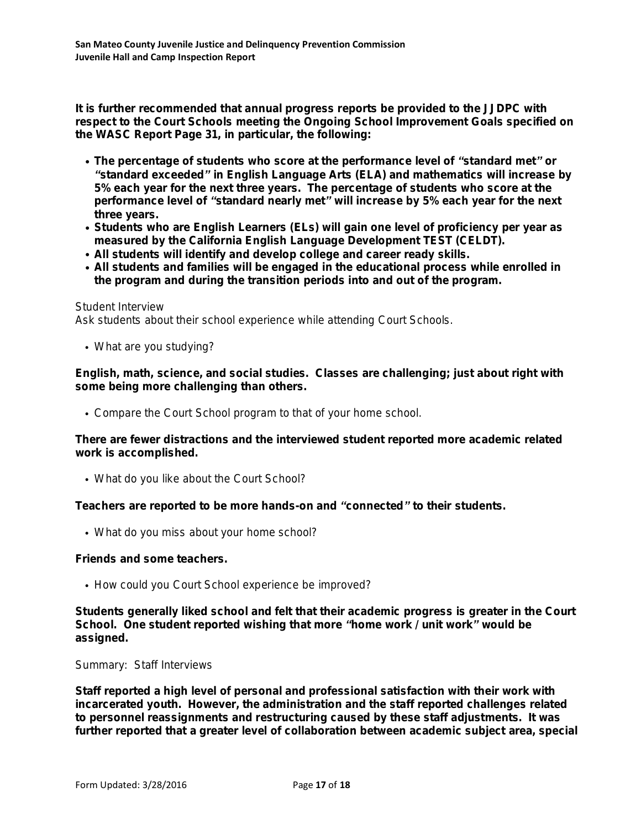*It is further recommended that annual progress reports be provided to the JJDPC with respect to the Court Schools meeting the Ongoing School Improvement Goals specified on the WASC Report Page 31, in particular, the following:* 

- *• The percentage of students who score at the performance level of "standard met" or "standard exceeded" in English Language Arts (ELA) and mathematics will increase by 5% each year for the next three years. The percentage of students who score at the performance level of "standard nearly met" will increase by 5% each year for the next three years.*
- *• Students who are English Learners (ELs) will gain one level of proficiency per year as measured by the California English Language Development TEST (CELDT).*
- *• All students will identify and develop college and career ready skills.*
- *• All students and families will be engaged in the educational process while enrolled in the program and during the transition periods into and out of the program.*

# **Student Interview**

**Ask students about their school experience while attending Court Schools.**

**• What are you studying?**

*English, math, science, and social studies. Classes are challenging; just about right with some being more challenging than others.*

**• Compare the Court School program to that of your home school.**

*There are fewer distractions and the interviewed student reported more academic related work is accomplished.*

**• What do you like about the Court School?**

*Teachers are reported to be more hands-on and "connected" to their students.* 

**• What do you miss about your home school?**

# *Friends and some teachers.*

**• How could you Court School experience be improved?**

*Students generally liked school and felt that their academic progress is greater in the Court School. One student reported wishing that more "home work / unit work" would be assigned.*

# **Summary: Staff Interviews**

*Staff reported a high level of personal and professional satisfaction with their work with incarcerated youth. However, the administration and the staff reported challenges related to personnel reassignments and restructuring caused by these staff adjustments. It was further reported that a greater level of collaboration between academic subject area, special*